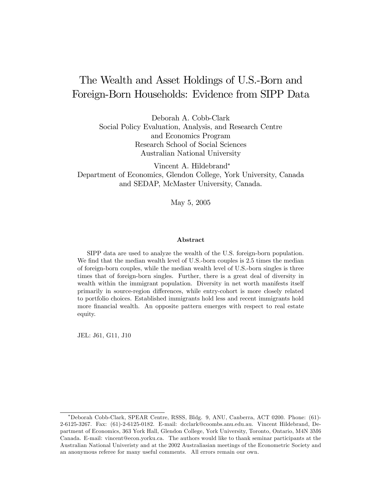# The Wealth and Asset Holdings of U.S.-Born and Foreign-Born Households: Evidence from SIPP Data

Deborah A. Cobb-Clark Social Policy Evaluation, Analysis, and Research Centre and Economics Program Research School of Social Sciences Australian National University

Vincent A. Hildebrand Department of Economics, Glendon College, York University, Canada and SEDAP, McMaster University, Canada.

May 5, 2005

#### Abstract

SIPP data are used to analyze the wealth of the U.S. foreign-born population. We find that the median wealth level of U.S.-born couples is 2.5 times the median of foreign-born couples, while the median wealth level of U.S.-born singles is three times that of foreign-born singles. Further, there is a great deal of diversity in wealth within the immigrant population. Diversity in net worth manifests itself primarily in source-region differences, while entry-cohort is more closely related to portfolio choices. Established immigrants hold less and recent immigrants hold more financial wealth. An opposite pattern emerges with respect to real estate equity.

JEL: J61, G11, J10

Deborah Cobb-Clark, SPEAR Centre, RSSS, Bldg. 9, ANU, Canberra, ACT 0200. Phone: (61)- 2-6125-3267. Fax: (61)-2-6125-0182. E-mail: dcclark@coombs.anu.edu.au. Vincent Hildebrand, Department of Economics, 363 York Hall, Glendon College, York University, Toronto, Ontario, M4N 3M6 Canada. E-mail: vincent@econ.yorku.ca. The authors would like to thank seminar participants at the Australian National Univeristy and at the 2002 Australiasian meetings of the Econometric Society and an anonymous referee for many useful comments. All errors remain our own.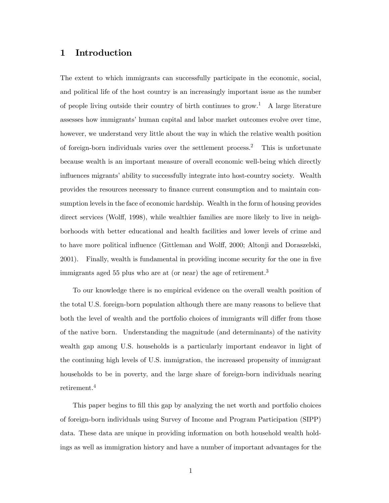### 1 Introduction

The extent to which immigrants can successfully participate in the economic, social, and political life of the host country is an increasingly important issue as the number of people living outside their country of birth continues to grow.<sup>1</sup> A large literature assesses how immigrants' human capital and labor market outcomes evolve over time, however, we understand very little about the way in which the relative wealth position of foreign-born individuals varies over the settlement process.<sup>2</sup> This is unfortunate because wealth is an important measure of overall economic well-being which directly influences migrants' ability to successfully integrate into host-country society. Wealth provides the resources necessary to Önance current consumption and to maintain consumption levels in the face of economic hardship. Wealth in the form of housing provides direct services (Wolff, 1998), while wealthier families are more likely to live in neighborhoods with better educational and health facilities and lower levels of crime and to have more political influence (Gittleman and Wolff, 2000; Altonji and Doraszelski, 2001). Finally, wealth is fundamental in providing income security for the one in five immigrants aged 55 plus who are at (or near) the age of retirement.<sup>3</sup>

To our knowledge there is no empirical evidence on the overall wealth position of the total U.S. foreign-born population although there are many reasons to believe that both the level of wealth and the portfolio choices of immigrants will differ from those of the native born. Understanding the magnitude (and determinants) of the nativity wealth gap among U.S. households is a particularly important endeavor in light of the continuing high levels of U.S. immigration, the increased propensity of immigrant households to be in poverty, and the large share of foreign-born individuals nearing retirement.<sup>4</sup>

This paper begins to fill this gap by analyzing the net worth and portfolio choices of foreign-born individuals using Survey of Income and Program Participation (SIPP) data. These data are unique in providing information on both household wealth holdings as well as immigration history and have a number of important advantages for the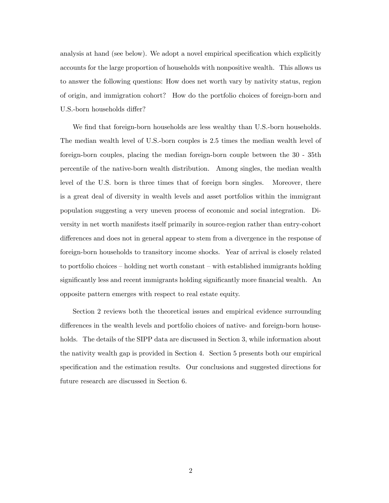analysis at hand (see below). We adopt a novel empirical specification which explicitly accounts for the large proportion of households with nonpositive wealth. This allows us to answer the following questions: How does net worth vary by nativity status, region of origin, and immigration cohort? How do the portfolio choices of foreign-born and U.S.-born households differ?

We find that foreign-born households are less wealthy than U.S.-born households. The median wealth level of U.S.-born couples is 2.5 times the median wealth level of foreign-born couples, placing the median foreign-born couple between the 30 - 35th percentile of the native-born wealth distribution. Among singles, the median wealth level of the U.S. born is three times that of foreign born singles. Moreover, there is a great deal of diversity in wealth levels and asset portfolios within the immigrant population suggesting a very uneven process of economic and social integration. Diversity in net worth manifests itself primarily in source-region rather than entry-cohort differences and does not in general appear to stem from a divergence in the response of foreign-born households to transitory income shocks. Year of arrival is closely related to portfolio choices – holding net worth constant – with established immigrants holding significantly less and recent immigrants holding significantly more financial wealth. An opposite pattern emerges with respect to real estate equity.

Section 2 reviews both the theoretical issues and empirical evidence surrounding differences in the wealth levels and portfolio choices of native- and foreign-born households. The details of the SIPP data are discussed in Section 3, while information about the nativity wealth gap is provided in Section 4. Section 5 presents both our empirical specification and the estimation results. Our conclusions and suggested directions for future research are discussed in Section 6.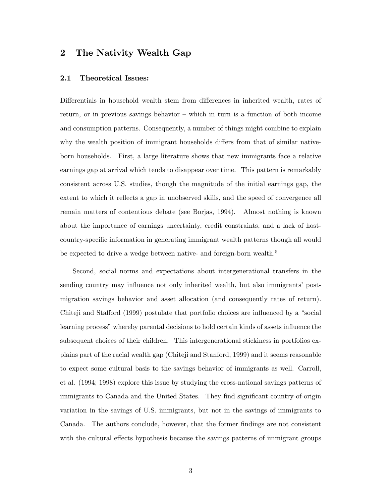### 2 The Nativity Wealth Gap

#### 2.1 Theoretical Issues:

Differentials in household wealth stem from differences in inherited wealth, rates of return, or in previous savings behavior  $-$  which in turn is a function of both income and consumption patterns. Consequently, a number of things might combine to explain why the wealth position of immigrant households differs from that of similar nativeborn households. First, a large literature shows that new immigrants face a relative earnings gap at arrival which tends to disappear over time. This pattern is remarkably consistent across U.S. studies, though the magnitude of the initial earnings gap, the extent to which it reflects a gap in unobserved skills, and the speed of convergence all remain matters of contentious debate (see Borjas, 1994). Almost nothing is known about the importance of earnings uncertainty, credit constraints, and a lack of hostcountry-specific information in generating immigrant wealth patterns though all would be expected to drive a wedge between native- and foreign-born wealth.<sup>5</sup>

Second, social norms and expectations about intergenerational transfers in the sending country may influence not only inherited wealth, but also immigrants' postmigration savings behavior and asset allocation (and consequently rates of return). Chiteji and Stafford (1999) postulate that portfolio choices are influenced by a "social learning process" whereby parental decisions to hold certain kinds of assets influence the subsequent choices of their children. This intergenerational stickiness in portfolios explains part of the racial wealth gap (Chiteji and Stanford, 1999) and it seems reasonable to expect some cultural basis to the savings behavior of immigrants as well. Carroll, et al. (1994; 1998) explore this issue by studying the cross-national savings patterns of immigrants to Canada and the United States. They find significant country-of-origin variation in the savings of U.S. immigrants, but not in the savings of immigrants to Canada. The authors conclude, however, that the former Öndings are not consistent with the cultural effects hypothesis because the savings patterns of immigrant groups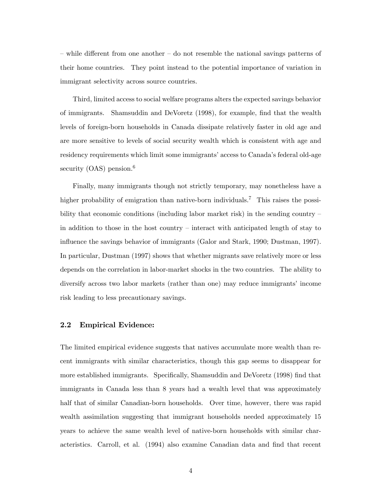$\overline{\phantom{a}}$  – while different from one another – do not resemble the national savings patterns of their home countries. They point instead to the potential importance of variation in immigrant selectivity across source countries.

Third, limited access to social welfare programs alters the expected savings behavior of immigrants. Shamsuddin and DeVoretz (1998), for example, find that the wealth levels of foreign-born households in Canada dissipate relatively faster in old age and are more sensitive to levels of social security wealth which is consistent with age and residency requirements which limit some immigrants' access to Canada's federal old-age security  $(OAS)$  pension.<sup>6</sup>

Finally, many immigrants though not strictly temporary, may nonetheless have a higher probability of emigration than native-born individuals.<sup>7</sup> This raises the possibility that economic conditions (including labor market risk) in the sending country  $\overline{\phantom{a}}$ in addition to those in the host country  $\overline{\phantom{a}}$ -interact with anticipated length of stay to influence the savings behavior of immigrants (Galor and Stark, 1990; Dustman, 1997). In particular, Dustman (1997) shows that whether migrants save relatively more or less depends on the correlation in labor-market shocks in the two countries. The ability to diversify across two labor markets (rather than one) may reduce immigrants' income risk leading to less precautionary savings.

#### 2.2 Empirical Evidence:

The limited empirical evidence suggests that natives accumulate more wealth than recent immigrants with similar characteristics, though this gap seems to disappear for more established immigrants. Specifically, Shamsuddin and DeVoretz (1998) find that immigrants in Canada less than 8 years had a wealth level that was approximately half that of similar Canadian-born households. Over time, however, there was rapid wealth assimilation suggesting that immigrant households needed approximately 15 years to achieve the same wealth level of native-born households with similar characteristics. Carroll, et al. (1994) also examine Canadian data and Önd that recent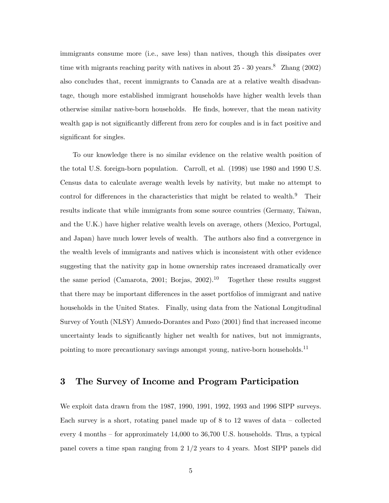immigrants consume more (i.e., save less) than natives, though this dissipates over time with migrants reaching parity with natives in about 25 - 30 years.<sup>8</sup> Zhang (2002) also concludes that, recent immigrants to Canada are at a relative wealth disadvantage, though more established immigrant households have higher wealth levels than otherwise similar native-born households. He Önds, however, that the mean nativity wealth gap is not significantly different from zero for couples and is in fact positive and significant for singles.

To our knowledge there is no similar evidence on the relative wealth position of the total U.S. foreign-born population. Carroll, et al. (1998) use 1980 and 1990 U.S. Census data to calculate average wealth levels by nativity, but make no attempt to control for differences in the characteristics that might be related to wealth. $9$  Their results indicate that while immigrants from some source countries (Germany, Taiwan, and the U.K.) have higher relative wealth levels on average, others (Mexico, Portugal, and Japan) have much lower levels of wealth. The authors also find a convergence in the wealth levels of immigrants and natives which is inconsistent with other evidence suggesting that the nativity gap in home ownership rates increased dramatically over the same period (Camarota, 2001; Borjas, 2002).<sup>10</sup> Together these results suggest that there may be important differences in the asset portfolios of immigrant and native households in the United States. Finally, using data from the National Longitudinal Survey of Youth (NLSY) Amuedo-Dorantes and Pozo (2001) Önd that increased income uncertainty leads to significantly higher net wealth for natives, but not immigrants, pointing to more precautionary savings amongst young, native-born households.<sup>11</sup>

### 3 The Survey of Income and Program Participation

We exploit data drawn from the 1987, 1990, 1991, 1992, 1993 and 1996 SIPP surveys. Each survey is a short, rotating panel made up of  $8$  to 12 waves of data  $-$  collected every 4 months  $-$  for approximately 14,000 to 36,700 U.S. households. Thus, a typical panel covers a time span ranging from 2 1/2 years to 4 years. Most SIPP panels did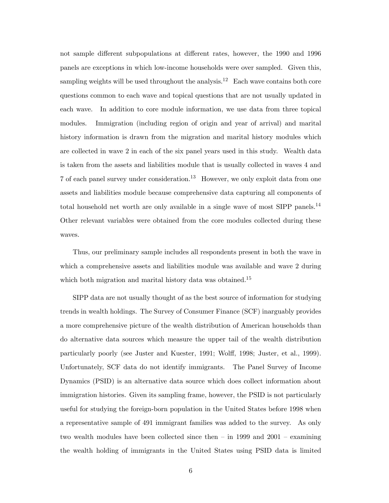not sample different subpopulations at different rates, however, the 1990 and 1996 panels are exceptions in which low-income households were over sampled. Given this, sampling weights will be used throughout the analysis.<sup>12</sup> Each wave contains both core questions common to each wave and topical questions that are not usually updated in each wave. In addition to core module information, we use data from three topical modules. Immigration (including region of origin and year of arrival) and marital history information is drawn from the migration and marital history modules which are collected in wave 2 in each of the six panel years used in this study. Wealth data is taken from the assets and liabilities module that is usually collected in waves 4 and 7 of each panel survey under consideration.<sup>13</sup> However, we only exploit data from one assets and liabilities module because comprehensive data capturing all components of total household net worth are only available in a single wave of most SIPP panels.<sup>14</sup> Other relevant variables were obtained from the core modules collected during these waves.

Thus, our preliminary sample includes all respondents present in both the wave in which a comprehensive assets and liabilities module was available and wave 2 during which both migration and marital history data was obtained.<sup>15</sup>

SIPP data are not usually thought of as the best source of information for studying trends in wealth holdings. The Survey of Consumer Finance (SCF) inarguably provides a more comprehensive picture of the wealth distribution of American households than do alternative data sources which measure the upper tail of the wealth distribution particularly poorly (see Juster and Kuester, 1991; Wolff, 1998; Juster, et al., 1999). Unfortunately, SCF data do not identify immigrants. The Panel Survey of Income Dynamics (PSID) is an alternative data source which does collect information about immigration histories. Given its sampling frame, however, the PSID is not particularly useful for studying the foreign-born population in the United States before 1998 when a representative sample of 491 immigrant families was added to the survey. As only two wealth modules have been collected since then  $-$  in 1999 and 2001  $-$  examining the wealth holding of immigrants in the United States using PSID data is limited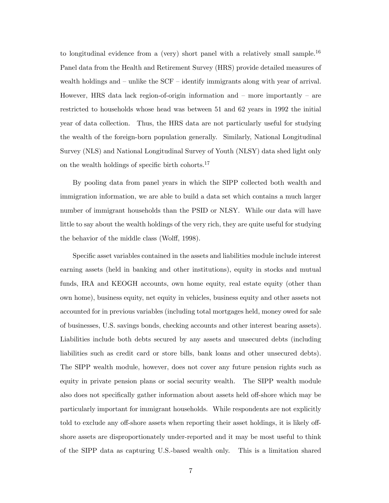to longitudinal evidence from a (very) short panel with a relatively small sample.<sup>16</sup> Panel data from the Health and Retirement Survey (HRS) provide detailed measures of wealth holdings and  $-$  unlike the SCF  $-$  identify immigrants along with year of arrival. However, HRS data lack region-of-origin information and  $-$  more importantly  $-$  are restricted to households whose head was between 51 and 62 years in 1992 the initial year of data collection. Thus, the HRS data are not particularly useful for studying the wealth of the foreign-born population generally. Similarly, National Longitudinal Survey (NLS) and National Longitudinal Survey of Youth (NLSY) data shed light only on the wealth holdings of specific birth cohorts.<sup>17</sup>

By pooling data from panel years in which the SIPP collected both wealth and immigration information, we are able to build a data set which contains a much larger number of immigrant households than the PSID or NLSY. While our data will have little to say about the wealth holdings of the very rich, they are quite useful for studying the behavior of the middle class (Wolff, 1998).

Specific asset variables contained in the assets and liabilities module include interest earning assets (held in banking and other institutions), equity in stocks and mutual funds, IRA and KEOGH accounts, own home equity, real estate equity (other than own home), business equity, net equity in vehicles, business equity and other assets not accounted for in previous variables (including total mortgages held, money owed for sale of businesses, U.S. savings bonds, checking accounts and other interest bearing assets). Liabilities include both debts secured by any assets and unsecured debts (including liabilities such as credit card or store bills, bank loans and other unsecured debts). The SIPP wealth module, however, does not cover any future pension rights such as equity in private pension plans or social security wealth. The SIPP wealth module also does not specifically gather information about assets held off-shore which may be particularly important for immigrant households. While respondents are not explicitly told to exclude any off-shore assets when reporting their asset holdings, it is likely offshore assets are disproportionately under-reported and it may be most useful to think of the SIPP data as capturing U.S.-based wealth only. This is a limitation shared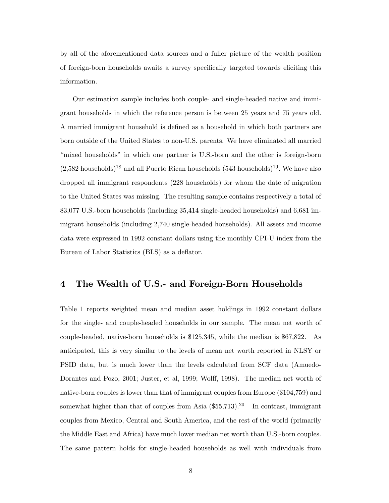by all of the aforementioned data sources and a fuller picture of the wealth position of foreign-born households awaits a survey speciÖcally targeted towards eliciting this information.

Our estimation sample includes both couple- and single-headed native and immigrant households in which the reference person is between 25 years and 75 years old. A married immigrant household is defined as a household in which both partners are born outside of the United States to non-U.S. parents. We have eliminated all married ìmixed householdsî in which one partner is U.S.-born and the other is foreign-born  $(2,582$  households)<sup>18</sup> and all Puerto Rican households (543 households)<sup>19</sup>. We have also dropped all immigrant respondents (228 households) for whom the date of migration to the United States was missing. The resulting sample contains respectively a total of 83,077 U.S.-born households (including 35,414 single-headed households) and 6,681 immigrant households (including 2,740 single-headed households). All assets and income data were expressed in 1992 constant dollars using the monthly CPI-U index from the Bureau of Labor Statistics (BLS) as a deflator.

### 4 The Wealth of U.S.- and Foreign-Born Households

Table 1 reports weighted mean and median asset holdings in 1992 constant dollars for the single- and couple-headed households in our sample. The mean net worth of couple-headed, native-born households is \$125,345, while the median is \$67,822. As anticipated, this is very similar to the levels of mean net worth reported in NLSY or PSID data, but is much lower than the levels calculated from SCF data (Amuedo-Dorantes and Pozo, 2001; Juster, et al, 1999; Wolff, 1998). The median net worth of native-born couples is lower than that of immigrant couples from Europe (\$104,759) and somewhat higher than that of couples from Asia  $(\$55,713).^{20}$  In contrast, immigrant couples from Mexico, Central and South America, and the rest of the world (primarily the Middle East and Africa) have much lower median net worth than U.S.-born couples. The same pattern holds for single-headed households as well with individuals from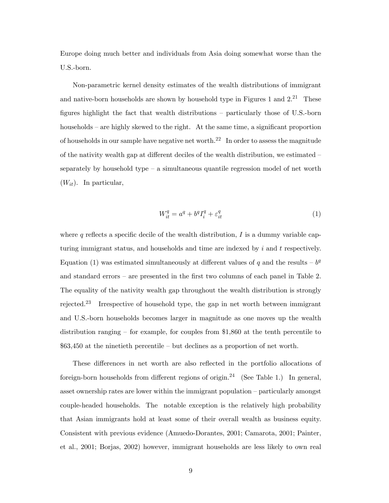Europe doing much better and individuals from Asia doing somewhat worse than the U.S.-born.

Non-parametric kernel density estimates of the wealth distributions of immigrant and native-born households are shown by household type in Figures 1 and  $2^{21}$  These figures highlight the fact that wealth distributions  $\overline{\phantom{a}}$  particularly those of U.S.-born households  $-\alpha$  highly skewed to the right. At the same time, a significant proportion of households in our sample have negative net worth.<sup>22</sup> In order to assess the magnitude of the nativity wealth gap at different deciles of the wealth distribution, we estimated  $\overline{\phantom{a}}$ separately by household type  $-$  a simultaneous quantile regression model of net worth  $(W_{it})$ . In particular,

$$
W_{it}^q = a^q + b^q I_i^q + \varepsilon_{it}^q \tag{1}
$$

where q reflects a specific decile of the wealth distribution,  $I$  is a dummy variable capturing immigrant status, and households and time are indexed by  $i$  and  $t$  respectively. Equation (1) was estimated simultaneously at different values of q and the results  $-b<sup>q</sup>$ and standard errors  $-$  are presented in the first two columns of each panel in Table 2. The equality of the nativity wealth gap throughout the wealth distribution is strongly rejected.<sup>23</sup> Irrespective of household type, the gap in net worth between immigrant and U.S.-born households becomes larger in magnitude as one moves up the wealth distribution ranging  $\overline{\phantom{a}}$  for example, for couples from \$1,860 at the tenth percentile to  $$63,450$  at the ninetieth percentile – but declines as a proportion of net worth.

These differences in net worth are also reflected in the portfolio allocations of foreign-born households from different regions of origin.<sup>24</sup> (See Table 1.) In general, asset ownership rates are lower within the immigrant population  $-$  particularly amongst couple-headed households. The notable exception is the relatively high probability that Asian immigrants hold at least some of their overall wealth as business equity. Consistent with previous evidence (Amuedo-Dorantes, 2001; Camarota, 2001; Painter, et al., 2001; Borjas, 2002) however, immigrant households are less likely to own real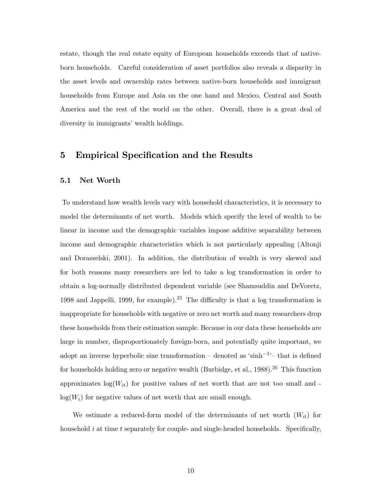estate, though the real estate equity of European households exceeds that of nativeborn households. Careful consideration of asset portfolios also reveals a disparity in the asset levels and ownership rates between native-born households and immigrant households from Europe and Asia on the one hand and Mexico, Central and South America and the rest of the world on the other. Overall, there is a great deal of diversity in immigrants' wealth holdings.

### 5 Empirical Specification and the Results

#### 5.1 Net Worth

To understand how wealth levels vary with household characteristics, it is necessary to model the determinants of net worth. Models which specify the level of wealth to be linear in income and the demographic variables impose additive separability between income and demographic characteristics which is not particularly appealing (Altonji and Doraszelski, 2001). In addition, the distribution of wealth is very skewed and for both reasons many researchers are led to take a log transformation in order to obtain a log-normally distributed dependent variable (see Shamsuddin and DeVoretz, 1998 and Jappelli, 1999, for example).<sup>25</sup> The difficulty is that a log transformation is inappropriate for households with negative or zero net worth and many researchers drop these households from their estimation sample. Because in our data these households are large in number, disproportionately foreign-born, and potentially quite important, we adopt an inverse hyperbolic sine transformation – denoted as ' $\sinh^{-1}$ ' that is defined for households holding zero or negative wealth (Burbidge, et al.,  $1988$ ).<sup>26</sup> This function approximates  $log(W_{it})$  for positive values of net worth that are not too small and  $log(W_i)$  for negative values of net worth that are small enough.

We estimate a reduced-form model of the determinants of net worth  $(W_{it})$  for household i at time t separately for couple- and single-headed households. Specifically,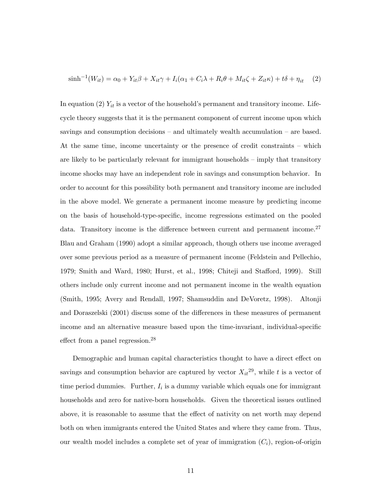$$
\sinh^{-1}(W_{it}) = \alpha_0 + Y_{it}\beta + X_{it}\gamma + I_i(\alpha_1 + C_i\lambda + R_i\theta + M_{it}\zeta + Z_{it}\kappa) + t\delta + \eta_{it} \tag{2}
$$

In equation (2)  $Y_{it}$  is a vector of the household's permanent and transitory income. Lifecycle theory suggests that it is the permanent component of current income upon which savings and consumption decisions  $-$  and ultimately wealth accumulation  $-$  are based. At the same time, income uncertainty or the presence of credit constraints  $-$  which are likely to be particularly relevant for immigrant households  $\overline{\phantom{a}}$ -imply that transitory income shocks may have an independent role in savings and consumption behavior. In order to account for this possibility both permanent and transitory income are included in the above model. We generate a permanent income measure by predicting income on the basis of household-type-specific, income regressions estimated on the pooled data. Transitory income is the difference between current and permanent income.<sup>27</sup> Blau and Graham (1990) adopt a similar approach, though others use income averaged over some previous period as a measure of permanent income (Feldstein and Pellechio, 1979; Smith and Ward, 1980; Hurst, et al., 1998; Chiteji and Stafford, 1999). Still others include only current income and not permanent income in the wealth equation (Smith, 1995; Avery and Rendall, 1997; Shamsuddin and DeVoretz, 1998). Altonji and Doraszelski (2001) discuss some of the differences in these measures of permanent income and an alternative measure based upon the time-invariant, individual-specific effect from a panel regression. $^{28}$ 

Demographic and human capital characteristics thought to have a direct effect on savings and consumption behavior are captured by vector  $X_{it}^{29}$ , while t is a vector of time period dummies. Further,  $I_i$  is a dummy variable which equals one for immigrant households and zero for native-born households. Given the theoretical issues outlined above, it is reasonable to assume that the effect of nativity on net worth may depend both on when immigrants entered the United States and where they came from. Thus, our wealth model includes a complete set of year of immigration  $(C_i)$ , region-of-origin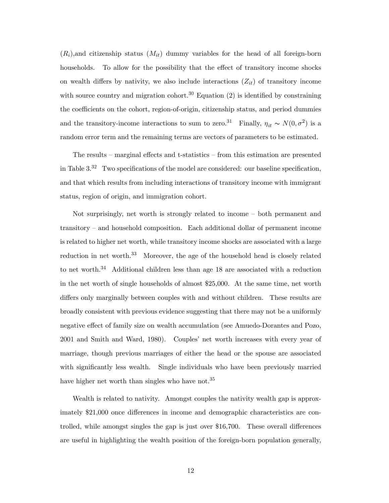$(R_i)$ , and citizenship status  $(M_{it})$  dummy variables for the head of all foreign-born households. To allow for the possibility that the effect of transitory income shocks on wealth differs by nativity, we also include interactions  $(Z_{it})$  of transitory income with source country and migration cohort.<sup>30</sup> Equation  $(2)$  is identified by constraining the coefficients on the cohort, region-of-origin, citizenship status, and period dummies and the transitory-income interactions to sum to zero.<sup>31</sup> Finally,  $\eta_{it} \sim N(0, \sigma^2)$  is a random error term and the remaining terms are vectors of parameters to be estimated.

The results  $-$  marginal effects and t-statistics  $-$  from this estimation are presented in Table  $3^{32}$  Two specifications of the model are considered: our baseline specification, and that which results from including interactions of transitory income with immigrant status, region of origin, and immigration cohort.

Not surprisingly, net worth is strongly related to income  $-\text{ both permanent}$  and transitory – and household composition. Each additional dollar of permanent income is related to higher net worth, while transitory income shocks are associated with a large reduction in net worth.<sup>33</sup> Moreover, the age of the household head is closely related to net worth. $34$  Additional children less than age 18 are associated with a reduction in the net worth of single households of almost \$25,000. At the same time, net worth differs only marginally between couples with and without children. These results are broadly consistent with previous evidence suggesting that there may not be a uniformly negative effect of family size on wealth accumulation (see Amuedo-Dorantes and Pozo, 2001 and Smith and Ward, 1980). Couplesí net worth increases with every year of marriage, though previous marriages of either the head or the spouse are associated with significantly less wealth. Single individuals who have been previously married have higher net worth than singles who have not.<sup>35</sup>

Wealth is related to nativity. Amongst couples the nativity wealth gap is approximately \$21,000 once differences in income and demographic characteristics are controlled, while amongst singles the gap is just over \$16,700. These overall differences are useful in highlighting the wealth position of the foreign-born population generally,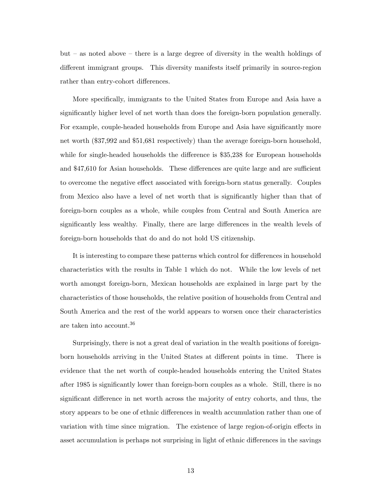but  $-$  as noted above  $-$  there is a large degree of diversity in the wealth holdings of different immigrant groups. This diversity manifests itself primarily in source-region rather than entry-cohort differences.

More specifically, immigrants to the United States from Europe and Asia have a significantly higher level of net worth than does the foreign-born population generally. For example, couple-headed households from Europe and Asia have significantly more net worth (\$37,992 and \$51,681 respectively) than the average foreign-born household, while for single-headed households the difference is \$35,238 for European households and  $$47,610$  for Asian households. These differences are quite large and are sufficient to overcome the negative effect associated with foreign-born status generally. Couples from Mexico also have a level of net worth that is significantly higher than that of foreign-born couples as a whole, while couples from Central and South America are significantly less wealthy. Finally, there are large differences in the wealth levels of foreign-born households that do and do not hold US citizenship.

It is interesting to compare these patterns which control for differences in household characteristics with the results in Table 1 which do not. While the low levels of net worth amongst foreign-born, Mexican households are explained in large part by the characteristics of those households, the relative position of households from Central and South America and the rest of the world appears to worsen once their characteristics are taken into account.<sup>36</sup>

Surprisingly, there is not a great deal of variation in the wealth positions of foreignborn households arriving in the United States at different points in time. There is evidence that the net worth of couple-headed households entering the United States after 1985 is significantly lower than foreign-born couples as a whole. Still, there is no significant difference in net worth across the majority of entry cohorts, and thus, the story appears to be one of ethnic differences in wealth accumulation rather than one of variation with time since migration. The existence of large region-of-origin effects in asset accumulation is perhaps not surprising in light of ethnic differences in the savings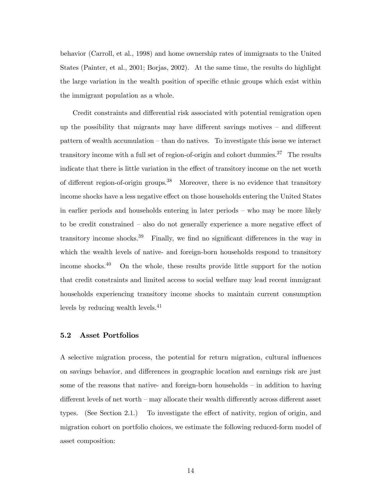behavior (Carroll, et al., 1998) and home ownership rates of immigrants to the United States (Painter, et al., 2001; Borjas, 2002). At the same time, the results do highlight the large variation in the wealth position of specific ethnic groups which exist within the immigrant population as a whole.

Credit constraints and differential risk associated with potential remigration open up the possibility that migrants may have different savings motives  $-$  and different pattern of wealth accumulation  $-$  than do natives. To investigate this issue we interact transitory income with a full set of region-of-origin and cohort dummies. $37$  The results indicate that there is little variation in the effect of transitory income on the net worth of different region-of-origin groups.<sup>38</sup> Moreover, there is no evidence that transitory income shocks have a less negative effect on those households entering the United States in earlier periods and households entering in later periods  $-$  who may be more likely to be credit constrained  $-$  also do not generally experience a more negative effect of transitory income shocks.<sup>39</sup> Finally, we find no significant differences in the way in which the wealth levels of native- and foreign-born households respond to transitory income shocks. $40$  On the whole, these results provide little support for the notion that credit constraints and limited access to social welfare may lead recent immigrant households experiencing transitory income shocks to maintain current consumption levels by reducing wealth levels.<sup>41</sup>

#### 5.2 Asset Portfolios

A selective migration process, the potential for return migration, cultural ináuences on savings behavior, and differences in geographic location and earnings risk are just some of the reasons that native- and foreign-born households  $\overline{\phantom{a}}$  in addition to having different levels of net worth – may allocate their wealth differently across different asset types. (See Section 2.1.) To investigate the effect of nativity, region of origin, and migration cohort on portfolio choices, we estimate the following reduced-form model of asset composition: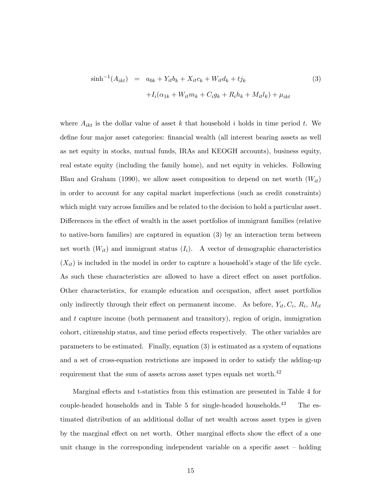$$
\sinh^{-1}(A_{ikt}) = a_{0k} + Y_{it}b_k + X_{it}c_k + W_{it}d_k + tj_k
$$
  
+
$$
I_i(\alpha_{1k} + W_{it}m_k + C_ig_k + R_ih_k + M_{it}l_k) + \mu_{ikt}
$$
 (3)

where  $A_{ikt}$  is the dollar value of asset k that household i holds in time period t. We define four major asset categories: financial wealth (all interest bearing assets as well as net equity in stocks, mutual funds, IRAs and KEOGH accounts), business equity, real estate equity (including the family home), and net equity in vehicles. Following Blau and Graham (1990), we allow asset composition to depend on net worth  $(W_{it})$ in order to account for any capital market imperfections (such as credit constraints) which might vary across families and be related to the decision to hold a particular asset. Differences in the effect of wealth in the asset portfolios of immigrant families (relative to native-born families) are captured in equation (3) by an interaction term between net worth  $(W_{it})$  and immigrant status  $(I_i)$ . A vector of demographic characteristics  $(X_{it})$  is included in the model in order to capture a household's stage of the life cycle. As such these characteristics are allowed to have a direct effect on asset portfolios. Other characteristics, for example education and occupation, affect asset portfolios only indirectly through their effect on permanent income. As before,  $Y_{it}, C_i, R_i, M_{it}$ and  $t$  capture income (both permanent and transitory), region of origin, immigration cohort, citizenship status, and time period effects respectively. The other variables are parameters to be estimated. Finally, equation (3) is estimated as a system of equations and a set of cross-equation restrictions are imposed in order to satisfy the adding-up requirement that the sum of assets across asset types equals net worth.<sup>42</sup>

Marginal effects and t-statistics from this estimation are presented in Table 4 for couple-headed households and in Table 5 for single-headed households. $^{43}$  The estimated distribution of an additional dollar of net wealth across asset types is given by the marginal effect on net worth. Other marginal effects show the effect of a one unit change in the corresponding independent variable on a specific asset  $-$  holding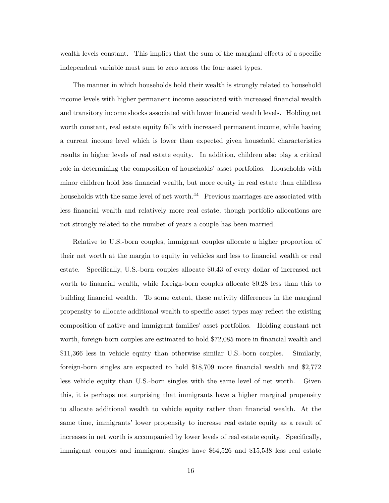wealth levels constant. This implies that the sum of the marginal effects of a specific independent variable must sum to zero across the four asset types.

The manner in which households hold their wealth is strongly related to household income levels with higher permanent income associated with increased financial wealth and transitory income shocks associated with lower financial wealth levels. Holding net worth constant, real estate equity falls with increased permanent income, while having a current income level which is lower than expected given household characteristics results in higher levels of real estate equity. In addition, children also play a critical role in determining the composition of households' asset portfolios. Households with minor children hold less financial wealth, but more equity in real estate than childless households with the same level of net worth. $^{44}$  Previous marriages are associated with less Önancial wealth and relatively more real estate, though portfolio allocations are not strongly related to the number of years a couple has been married.

Relative to U.S.-born couples, immigrant couples allocate a higher proportion of their net worth at the margin to equity in vehicles and less to financial wealth or real estate. Specifically, U.S.-born couples allocate \$0.43 of every dollar of increased net worth to financial wealth, while foreign-born couples allocate \$0.28 less than this to building financial wealth. To some extent, these nativity differences in the marginal propensity to allocate additional wealth to specific asset types may reflect the existing composition of native and immigrant families' asset portfolios. Holding constant net worth, foreign-born couples are estimated to hold \$72,085 more in financial wealth and \$11,366 less in vehicle equity than otherwise similar U.S.-born couples. Similarly, foreign-born singles are expected to hold \$18,709 more financial wealth and \$2,772 less vehicle equity than U.S.-born singles with the same level of net worth. Given this, it is perhaps not surprising that immigrants have a higher marginal propensity to allocate additional wealth to vehicle equity rather than Önancial wealth. At the same time, immigrants' lower propensity to increase real estate equity as a result of increases in net worth is accompanied by lower levels of real estate equity. Specifically, immigrant couples and immigrant singles have \$64,526 and \$15,538 less real estate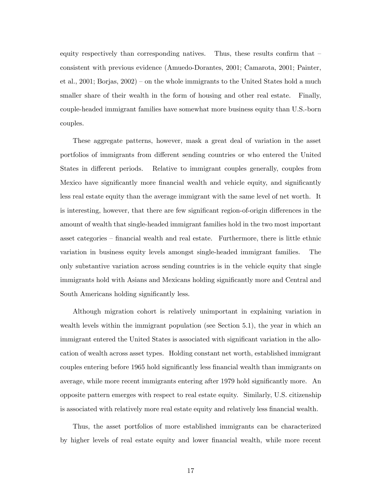equity respectively than corresponding natives. Thus, these results confirm that  $\overline{\phantom{a}}$ consistent with previous evidence (Amuedo-Dorantes, 2001; Camarota, 2001; Painter, et al.,  $2001$ ; Borjas,  $2002$ ) – on the whole immigrants to the United States hold a much smaller share of their wealth in the form of housing and other real estate. Finally, couple-headed immigrant families have somewhat more business equity than U.S.-born couples.

These aggregate patterns, however, mask a great deal of variation in the asset portfolios of immigrants from different sending countries or who entered the United States in different periods. Relative to immigrant couples generally, couples from Mexico have significantly more financial wealth and vehicle equity, and significantly less real estate equity than the average immigrant with the same level of net worth. It is interesting, however, that there are few significant region-of-origin differences in the amount of wealth that single-headed immigrant families hold in the two most important asset categories – financial wealth and real estate. Furthermore, there is little ethnic variation in business equity levels amongst single-headed immigrant families. The only substantive variation across sending countries is in the vehicle equity that single immigrants hold with Asians and Mexicans holding significantly more and Central and South Americans holding significantly less.

Although migration cohort is relatively unimportant in explaining variation in wealth levels within the immigrant population (see Section 5.1), the year in which an immigrant entered the United States is associated with significant variation in the allocation of wealth across asset types. Holding constant net worth, established immigrant couples entering before 1965 hold significantly less financial wealth than immigrants on average, while more recent immigrants entering after 1979 hold significantly more. An opposite pattern emerges with respect to real estate equity. Similarly, U.S. citizenship is associated with relatively more real estate equity and relatively less financial wealth.

Thus, the asset portfolios of more established immigrants can be characterized by higher levels of real estate equity and lower Önancial wealth, while more recent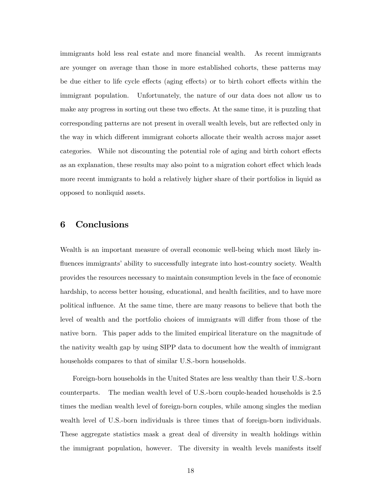immigrants hold less real estate and more financial wealth. As recent immigrants are younger on average than those in more established cohorts, these patterns may be due either to life cycle effects (aging effects) or to birth cohort effects within the immigrant population. Unfortunately, the nature of our data does not allow us to make any progress in sorting out these two effects. At the same time, it is puzzling that corresponding patterns are not present in overall wealth levels, but are reflected only in the way in which different immigrant cohorts allocate their wealth across major asset categories. While not discounting the potential role of aging and birth cohort effects as an explanation, these results may also point to a migration cohort effect which leads more recent immigrants to hold a relatively higher share of their portfolios in liquid as opposed to nonliquid assets.

### 6 Conclusions

Wealth is an important measure of overall economic well-being which most likely influences immigrants' ability to successfully integrate into host-country society. Wealth provides the resources necessary to maintain consumption levels in the face of economic hardship, to access better housing, educational, and health facilities, and to have more political influence. At the same time, there are many reasons to believe that both the level of wealth and the portfolio choices of immigrants will differ from those of the native born. This paper adds to the limited empirical literature on the magnitude of the nativity wealth gap by using SIPP data to document how the wealth of immigrant households compares to that of similar U.S.-born households.

Foreign-born households in the United States are less wealthy than their U.S.-born counterparts. The median wealth level of U.S.-born couple-headed households is 2.5 times the median wealth level of foreign-born couples, while among singles the median wealth level of U.S.-born individuals is three times that of foreign-born individuals. These aggregate statistics mask a great deal of diversity in wealth holdings within the immigrant population, however. The diversity in wealth levels manifests itself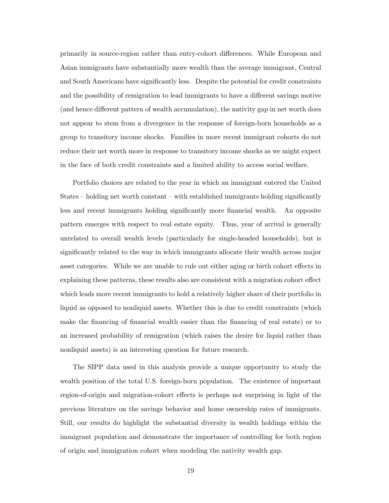primarily in source-region rather than entry-cohort differences. While European and Asian immigrants have substantially more wealth than the average immigrant, Central and South Americans have significantly less. Despite the potential for credit constraints and the possibility of remigration to lead immigrants to have a different savings motive (and hence different pattern of wealth accumulation), the nativity gap in net worth does not appear to stem from a divergence in the response of foreign-born households as a group to transitory income shocks. Families in more recent immigrant cohorts do not reduce their net worth more in response to transitory income shocks as we might expect in the face of both credit constraints and a limited ability to access social welfare.

Portfolio choices are related to the year in which an immigrant entered the United States  $-$  holding net worth constant  $-$  with established immigrants holding significantly less and recent immigrants holding significantly more financial wealth. An opposite pattern emerges with respect to real estate equity. Thus, year of arrival is generally unrelated to overall wealth levels (particularly for single-headed households), but is significantly related to the way in which immigrants allocate their wealth across major asset categories. While we are unable to rule out either aging or birth cohort effects in explaining these patterns, these results also are consistent with a migration cohort effect which leads more recent immigrants to hold a relatively higher share of their portfolio in liquid as opposed to nonliquid assets. Whether this is due to credit constraints (which make the financing of financial wealth easier than the financing of real estate) or to an increased probability of remigration (which raises the desire for liquid rather than nonliquid assets) is an interesting question for future research.

The SIPP data used in this analysis provide a unique opportunity to study the wealth position of the total U.S. foreign-born population. The existence of important region-of-origin and migration-cohort effects is perhaps not surprising in light of the previous literature on the savings behavior and home ownership rates of immigrants. Still, our results do highlight the substantial diversity in wealth holdings within the immigrant population and demonstrate the importance of controlling for both region of origin and immigration cohort when modeling the nativity wealth gap.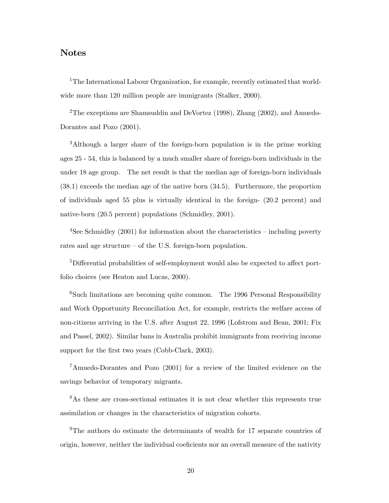### Notes

<sup>1</sup>The International Labour Organization, for example, recently estimated that worldwide more than 120 million people are immigrants (Stalker, 2000).

<sup>2</sup>The exceptions are Shamsuddin and DeVortez  $(1998)$ , Zhang  $(2002)$ , and Amuedo-Dorantes and Pozo (2001).

<sup>3</sup>Although a larger share of the foreign-born population is in the prime working ages 25 - 54, this is balanced by a much smaller share of foreign-born individuals in the under 18 age group. The net result is that the median age of foreign-born individuals (38.1) exceeds the median age of the native born (34.5). Furthermore, the proportion of individuals aged 55 plus is virtually identical in the foreign- (20.2 percent) and native-born (20.5 percent) populations (Schmidley, 2001).

<sup>4</sup>See Schmidley (2001) for information about the characteristics – including poverty rates and age structure  $-$  of the U.S. foreign-born population.

 $5$ Differential probabilities of self-employment would also be expected to affect portfolio choices (see Heaton and Lucas, 2000).

<sup>6</sup>Such limitations are becoming quite common. The 1996 Personal Responsibility and Work Opportunity Reconciliation Act, for example, restricts the welfare access of non-citizens arriving in the U.S. after August 22, 1996 (Lofstrom and Bean, 2001; Fix and Passel, 2002). Similar bans in Australia prohibit immigrants from receiving income support for the first two years (Cobb-Clark, 2003).

<sup>7</sup>Amuedo-Dorantes and Pozo (2001) for a review of the limited evidence on the savings behavior of temporary migrants.

<sup>8</sup>As these are cross-sectional estimates it is not clear whether this represents true assimilation or changes in the characteristics of migration cohorts.

<sup>9</sup>The authors do estimate the determinants of wealth for 17 separate countries of origin, however, neither the individual coeficients nor an overall measure of the nativity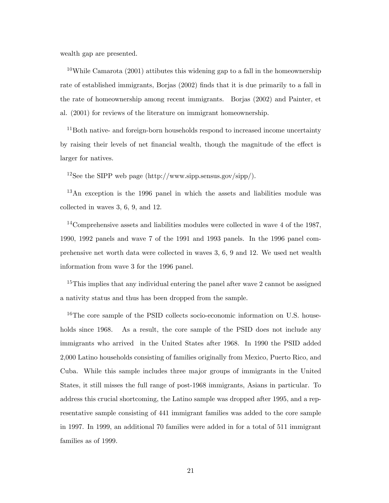wealth gap are presented.

<sup>10</sup>While Camarota (2001) attibutes this widening gap to a fall in the homeownership rate of established immigrants, Borjas (2002) finds that it is due primarily to a fall in the rate of homeownership among recent immigrants. Borjas (2002) and Painter, et al. (2001) for reviews of the literature on immigrant homeownership.

<sup>11</sup>Both native- and foreign-born households respond to increased income uncertainty by raising their levels of net financial wealth, though the magnitude of the effect is larger for natives.

<sup>12</sup>See the SIPP web page (http://www.sipp.sensus.gov/sipp/).

 $13$ An exception is the 1996 panel in which the assets and liabilities module was collected in waves 3, 6, 9, and 12.

<sup>14</sup>Comprehensive assets and liabilities modules were collected in wave 4 of the 1987, 1990, 1992 panels and wave 7 of the 1991 and 1993 panels. In the 1996 panel comprehensive net worth data were collected in waves 3, 6, 9 and 12. We used net wealth information from wave 3 for the 1996 panel.

<sup>15</sup>This implies that any individual entering the panel after wave 2 cannot be assigned a nativity status and thus has been dropped from the sample.

<sup>16</sup>The core sample of the PSID collects socio-economic information on U.S. households since 1968. As a result, the core sample of the PSID does not include any immigrants who arrived in the United States after 1968. In 1990 the PSID added 2,000 Latino households consisting of families originally from Mexico, Puerto Rico, and Cuba. While this sample includes three major groups of immigrants in the United States, it still misses the full range of post-1968 immigrants, Asians in particular. To address this crucial shortcoming, the Latino sample was dropped after 1995, and a representative sample consisting of 441 immigrant families was added to the core sample in 1997. In 1999, an additional 70 families were added in for a total of 511 immigrant families as of 1999.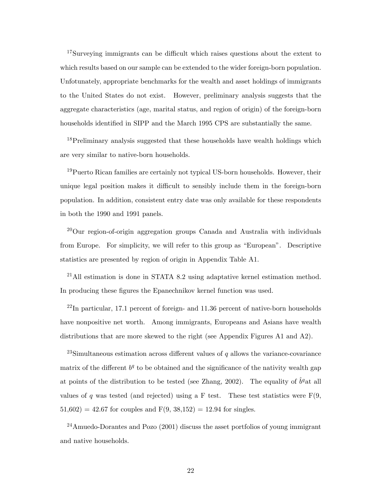$17$ Surveying immigrants can be difficult which raises questions about the extent to which results based on our sample can be extended to the wider foreign-born population. Unfotunately, appropriate benchmarks for the wealth and asset holdings of immigrants to the United States do not exist. However, preliminary analysis suggests that the aggregate characteristics (age, marital status, and region of origin) of the foreign-born households identified in SIPP and the March 1995 CPS are substantially the same.

<sup>18</sup>Preliminary analysis suggested that these households have wealth holdings which are very similar to native-born households.

 $19$ Puerto Rican families are certainly not typical US-born households. However, their unique legal position makes it difficult to sensibly include them in the foreign-born population. In addition, consistent entry date was only available for these respondents in both the 1990 and 1991 panels.

<sup>20</sup>Our region-of-origin aggregation groups Canada and Australia with individuals from Europe. For simplicity, we will refer to this group as "European". Descriptive statistics are presented by region of origin in Appendix Table A1.

<sup>21</sup>All estimation is done in STATA 8.2 using adaptative kernel estimation method. In producing these figures the Epanechnikov kernel function was used.

 $^{22}$ In particular, 17.1 percent of foreign- and 11.36 percent of native-born households have nonpositive net worth. Among immigrants, Europeans and Asians have wealth distributions that are more skewed to the right (see Appendix Figures A1 and A2).

 $^{23}$ Simultaneous estimation across different values of q allows the variance-covariance matrix of the different  $b<sup>q</sup>$  to be obtained and the significance of the nativity wealth gap at points of the distribution to be tested (see Zhang, 2002). The equality of  $\hat{b}^q$  at all values of q was tested (and rejected) using a F test. These test statistics were  $F(9, 6)$  $51,602$  = 42.67 for couples and  $F(9, 38, 152) = 12.94$  for singles.

<sup>24</sup>Amuedo-Dorantes and Pozo (2001) discuss the asset portfolios of young immigrant and native households.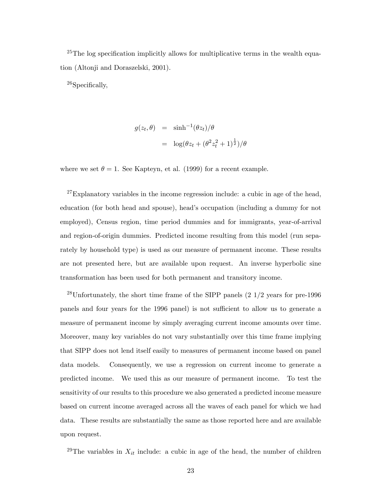$^{25}$ The log specification implicitly allows for multiplicative terms in the wealth equation (Altonji and Doraszelski, 2001).

 $^{26}$ Specifically,

$$
g(z_t, \theta) = \sinh^{-1}(\theta z_t)/\theta
$$
  
=  $\log(\theta z_t + (\theta^2 z_t^2 + 1)^{\frac{1}{2}})/\theta$ 

where we set  $\theta = 1$ . See Kapteyn, et al. (1999) for a recent example.

 $27$ Explanatory variables in the income regression include: a cubic in age of the head, education (for both head and spouse), head's occupation (including a dummy for not employed), Census region, time period dummies and for immigrants, year-of-arrival and region-of-origin dummies. Predicted income resulting from this model (run separately by household type) is used as our measure of permanent income. These results are not presented here, but are available upon request. An inverse hyperbolic sine transformation has been used for both permanent and transitory income.

<sup>28</sup>Unfortunately, the short time frame of the SIPP panels  $(2\ 1/2\ \text{years}$  for pre-1996 panels and four years for the 1996 panel) is not sufficient to allow us to generate a measure of permanent income by simply averaging current income amounts over time. Moreover, many key variables do not vary substantially over this time frame implying that SIPP does not lend itself easily to measures of permanent income based on panel data models. Consequently, we use a regression on current income to generate a predicted income. We used this as our measure of permanent income. To test the sensitivity of our results to this procedure we also generated a predicted income measure based on current income averaged across all the waves of each panel for which we had data. These results are substantially the same as those reported here and are available upon request.

<sup>29</sup>The variables in  $X_{it}$  include: a cubic in age of the head, the number of children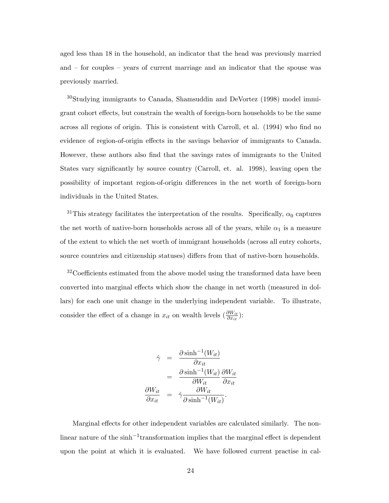aged less than 18 in the household, an indicator that the head was previously married and  $-$  for couples  $-$  years of current marriage and an indicator that the spouse was previously married.

<sup>30</sup>Studying immigrants to Canada, Shamsuddin and DeVortez (1998) model immigrant cohort effects, but constrain the wealth of foreign-born households to be the same across all regions of origin. This is consistent with Carroll, et al.  $(1994)$  who find no evidence of region-of-origin effects in the savings behavior of immigrants to Canada. However, these authors also find that the savings rates of immigrants to the United States vary significantly by source country (Carroll, et. al. 1998), leaving open the possibility of important region-of-origin differences in the net worth of foreign-born individuals in the United States.

<sup>31</sup>This strategy facilitates the interpretation of the results. Specifically,  $\alpha_0$  captures the net worth of native-born households across all of the years, while  $\alpha_1$  is a measure of the extent to which the net worth of immigrant households (across all entry cohorts, source countries and citizenship statuses) differs from that of native-born households.

 $32$ Coefficients estimated from the above model using the transformed data have been converted into marginal effects which show the change in net worth (measured in dollars) for each one unit change in the underlying independent variable. To illustrate, consider the effect of a change in  $x_{it}$  on wealth levels  $(\frac{\partial W_{it}}{\partial x_{it}})$ :

$$
\hat{\gamma} = \frac{\partial \sinh^{-1}(W_{it})}{\partial x_{it}}
$$
\n
$$
= \frac{\partial \sinh^{-1}(W_{it})}{\partial W_{it}} \frac{\partial W_{it}}{\partial x_{it}}
$$
\n
$$
\frac{\partial W_{it}}{\partial x_{it}} = \hat{\gamma} \frac{\partial W_{it}}{\partial \sinh^{-1}(W_{it})}.
$$

Marginal effects for other independent variables are calculated similarly. The nonlinear nature of the  $\sinh^{-1}$ transformation implies that the marginal effect is dependent upon the point at which it is evaluated. We have followed current practise in cal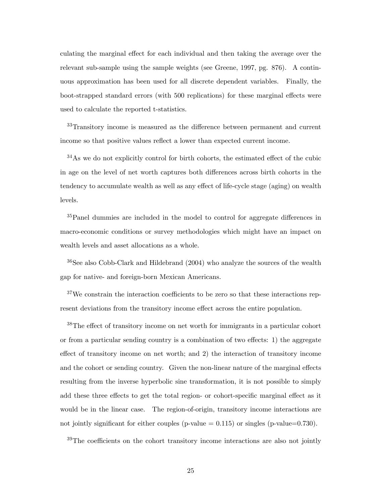culating the marginal effect for each individual and then taking the average over the relevant sub-sample using the sample weights (see Greene, 1997, pg. 876). A continuous approximation has been used for all discrete dependent variables. Finally, the boot-strapped standard errors (with 500 replications) for these marginal effects were used to calculate the reported t-statistics.

 $33$ Transitory income is measured as the difference between permanent and current income so that positive values reflect a lower than expected current income.

 $34$ As we do not explicitly control for birth cohorts, the estimated effect of the cubic in age on the level of net worth captures both differences across birth cohorts in the tendency to accumulate wealth as well as any effect of life-cycle stage (aging) on wealth levels.

 $35$ Panel dummies are included in the model to control for aggregate differences in macro-economic conditions or survey methodologies which might have an impact on wealth levels and asset allocations as a whole.

 $36$ See also Cobb-Clark and Hildebrand (2004) who analyze the sources of the wealth gap for native- and foreign-born Mexican Americans.

 $37$ We constrain the interaction coefficients to be zero so that these interactions represent deviations from the transitory income effect across the entire population.

 $38$ The effect of transitory income on net worth for immigrants in a particular cohort or from a particular sending country is a combination of two effects:  $1$ ) the aggregate effect of transitory income on net worth; and 2) the interaction of transitory income and the cohort or sending country. Given the non-linear nature of the marginal effects resulting from the inverse hyperbolic sine transformation, it is not possible to simply add these three effects to get the total region- or cohort-specific marginal effect as it would be in the linear case. The region-of-origin, transitory income interactions are not jointly significant for either couples (p-value  $= 0.115$ ) or singles (p-value=0.730).

 $39$ The coefficients on the cohort transitory income interactions are also not jointly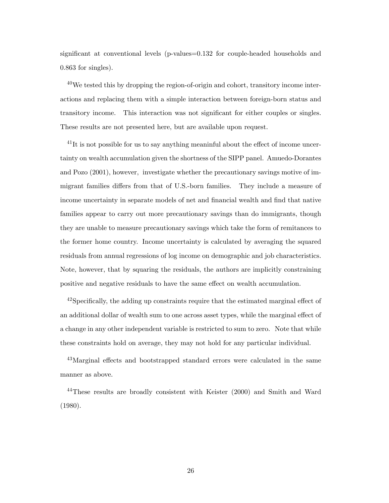significant at conventional levels ( $p$ -values=0.132 for couple-headed households and 0.863 for singles).

<sup>40</sup>We tested this by dropping the region-of-origin and cohort, transitory income interactions and replacing them with a simple interaction between foreign-born status and transitory income. This interaction was not significant for either couples or singles. These results are not presented here, but are available upon request.

 $^{41}$ It is not possible for us to say anything meaninful about the effect of income uncertainty on wealth accumulation given the shortness of the SIPP panel. Amuedo-Dorantes and Pozo (2001), however, investigate whether the precautionary savings motive of immigrant families differs from that of U.S.-born families. They include a measure of income uncertainty in separate models of net and financial wealth and find that native families appear to carry out more precautionary savings than do immigrants, though they are unable to measure precautionary savings which take the form of remitances to the former home country. Income uncertainty is calculated by averaging the squared residuals from annual regressions of log income on demographic and job characteristics. Note, however, that by squaring the residuals, the authors are implicitly constraining positive and negative residuals to have the same effect on wealth accumulation.

 $42$ Specifically, the adding up constraints require that the estimated marginal effect of an additional dollar of wealth sum to one across asset types, while the marginal effect of a change in any other independent variable is restricted to sum to zero. Note that while these constraints hold on average, they may not hold for any particular individual.

 $43$ Marginal effects and bootstrapped standard errors were calculated in the same manner as above.

<sup>44</sup>These results are broadly consistent with Keister (2000) and Smith and Ward (1980).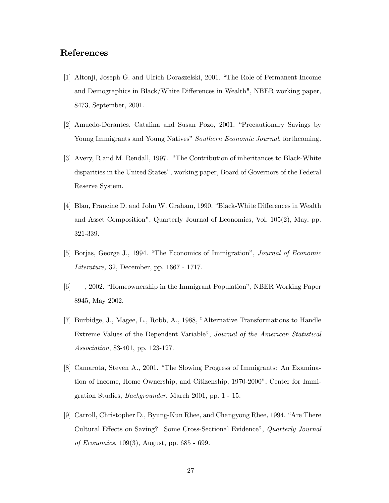### References

- [1] Altonji, Joseph G. and Ulrich Doraszelski, 2001. "The Role of Permanent Income and Demographics in Black/White Differences in Wealth", NBER working paper, 8473, September, 2001.
- [2] Amuedo-Dorantes, Catalina and Susan Pozo, 2001. "Precautionary Savings by Young Immigrants and Young Natives" Southern Economic Journal, forthcoming.
- [3] Avery, R and M. Rendall, 1997. "The Contribution of inheritances to Black-White disparities in the United States", working paper, Board of Governors of the Federal Reserve System.
- [4] Blau, Francine D. and John W. Graham, 1990. "Black-White Differences in Wealth and Asset Composition", Quarterly Journal of Economics, Vol. 105(2), May, pp. 321-339.
- [5] Borjas, George J., 1994. "The Economics of Immigration", *Journal of Economic* Literature, 32, December, pp. 1667 - 1717.
- [6]  $\rightarrow$ , 2002. "Homeownership in the Immigrant Population", NBER Working Paper 8945, May 2002.
- [7] Burbidge, J., Magee, L., Robb, A., 1988, îAlternative Transformations to Handle Extreme Values of the Dependent Variable", Journal of the American Statistical Association, 83-401, pp. 123-127.
- [8] Camarota, Steven A., 2001. "The Slowing Progress of Immigrants: An Examination of Income, Home Ownership, and Citizenship, 1970-2000", Center for Immigration Studies, Backgrounder, March 2001, pp. 1 - 15.
- [9] Carroll, Christopher D., Byung-Kun Rhee, and Changyong Rhee, 1994. "Are There Cultural Effects on Saving? Some Cross-Sectional Evidence", Quarterly Journal of Economics, 109(3), August, pp. 685 - 699.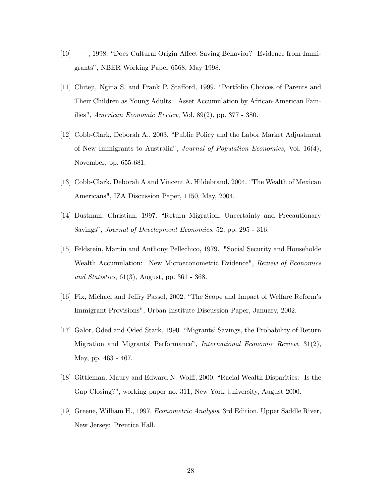- [10] <sub>(10</sub>) <sup>o</sup> (1998. "Does Cultural Origin Affect Saving Behavior? Evidence from Immigrantsî, NBER Working Paper 6568, May 1998.
- [11] Chiteji, Ngina S. and Frank P. Stafford, 1999. "Portfolio Choices of Parents and Their Children as Young Adults: Asset Accumulation by African-American Families", American Economic Review, Vol. 89(2), pp. 377 - 380.
- [12] Cobb-Clark, Deborah A., 2003. "Public Policy and the Labor Market Adjustment of New Immigrants to Australiaî, Journal of Population Economics, Vol. 16(4), November, pp. 655-681.
- [13] Cobb-Clark, Deborah A and Vincent A. Hildebrand, 2004. "The Wealth of Mexican Americans", IZA Discussion Paper, 1150, May, 2004.
- [14] Dustman, Christian, 1997. "Return Migration, Uncertainty and Precautionary Savings", Journal of Development Economics, 52, pp. 295 - 316.
- [15] Feldstein, Martin and Anthony Pellechico, 1979. "Social Security and Householde Wealth Accumulation: New Microeconometric Evidence", Review of Economics and Statistics, 61(3), August, pp. 361 - 368.
- [16] Fix, Michael and Jeffry Passel, 2002. "The Scope and Impact of Welfare Reform's Immigrant Provisions", Urban Institute Discussion Paper, January, 2002.
- [17] Galor, Oded and Oded Stark, 1990. "Migrants' Savings, the Probability of Return Migration and Migrants' Performance", *International Economic Review*, 31(2), May, pp. 463 - 467.
- [18] Gittleman, Maury and Edward N. Wolff, 2000. "Racial Wealth Disparities: Is the Gap Closing?", working paper no. 311, New York University, August 2000.
- [19] Greene, William H., 1997. Econometric Analysis. 3rd Edition. Upper Saddle River, New Jersey: Prentice Hall.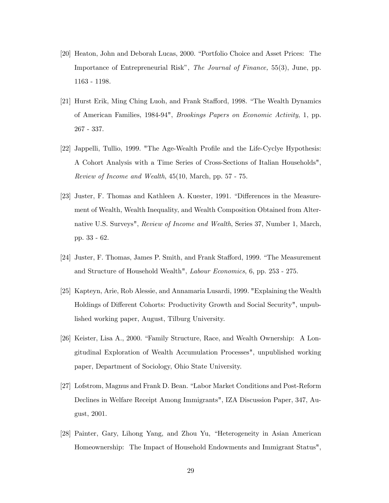- [20] Heaton, John and Deborah Lucas, 2000. "Portfolio Choice and Asset Prices: The Importance of Entrepreneurial Risk", The Journal of Finance, 55(3), June, pp. 1163 - 1198.
- [21] Hurst Erik, Ming Ching Luoh, and Frank Stafford, 1998. "The Wealth Dynamics of American Families, 1984-94", Brookings Papers on Economic Activity, 1, pp. 267 - 337.
- [22] Jappelli, Tullio, 1999. "The Age-Wealth Profile and the Life-Cyclye Hypothesis: A Cohort Analysis with a Time Series of Cross-Sections of Italian Households", Review of Income and Wealth, 45(10, March, pp. 57 - 75.
- [23] Juster, F. Thomas and Kathleen A. Kuester, 1991. "Differences in the Measurement of Wealth, Wealth Inequality, and Wealth Composition Obtained from Alternative U.S. Surveys", Review of Income and Wealth, Series 37, Number 1, March, pp. 33 - 62.
- [24] Juster, F. Thomas, James P. Smith, and Frank Stafford, 1999. "The Measurement and Structure of Household Wealth", Labour Economics, 6, pp. 253 - 275.
- [25] Kapteyn, Arie, Rob Alessie, and Annamaria Lusardi, 1999. "Explaining the Wealth Holdings of Different Cohorts: Productivity Growth and Social Security", unpublished working paper, August, Tilburg University.
- [26] Keister, Lisa A., 2000. "Family Structure, Race, and Wealth Ownership: A Longitudinal Exploration of Wealth Accumulation Processes", unpublished working paper, Department of Sociology, Ohio State University.
- [27] Lofstrom, Magnus and Frank D. Bean. "Labor Market Conditions and Post-Reform Declines in Welfare Receipt Among Immigrants", IZA Discussion Paper, 347, August, 2001.
- [28] Painter, Gary, Lihong Yang, and Zhou Yu, "Heterogeneity in Asian American Homeownership: The Impact of Household Endowments and Immigrant Status",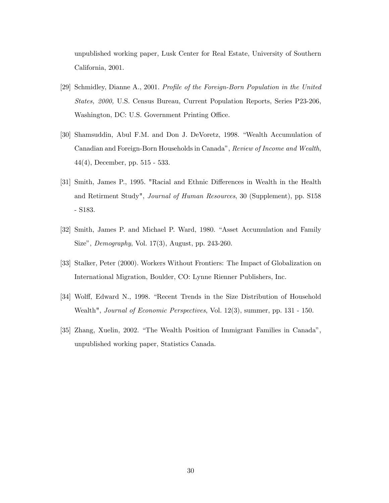unpublished working paper, Lusk Center for Real Estate, University of Southern California, 2001.

- [29] Schmidley, Dianne A., 2001. Profile of the Foreign-Born Population in the United States, 2000, U.S. Census Bureau, Current Population Reports, Series P23-206, Washington, DC: U.S. Government Printing Office.
- [30] Shamsuddin, Abul F.M. and Don J. DeVoretz, 1998. "Wealth Accumulation of Canadian and Foreign-Born Households in Canada", Review of Income and Wealth, 44(4), December, pp. 515 - 533.
- [31] Smith, James P., 1995. "Racial and Ethnic Differences in Wealth in the Health and Retirment Study", Journal of Human Resources, 30 (Supplement), pp. S158 - S183.
- [32] Smith, James P. and Michael P. Ward, 1980. "Asset Accumulation and Family Size", *Demography*, Vol. 17(3), August, pp. 243-260.
- [33] Stalker, Peter (2000). Workers Without Frontiers: The Impact of Globalization on International Migration, Boulder, CO: Lynne Rienner Publishers, Inc.
- [34] Wolff, Edward N., 1998. "Recent Trends in the Size Distribution of Household Wealth", Journal of Economic Perspectives, Vol. 12(3), summer, pp. 131 - 150.
- [35] Zhang, Xuelin, 2002. "The Wealth Position of Immigrant Families in Canada", unpublished working paper, Statistics Canada.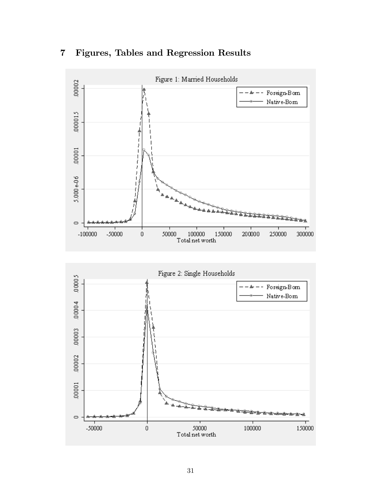

## 7 Figures, Tables and Regression Results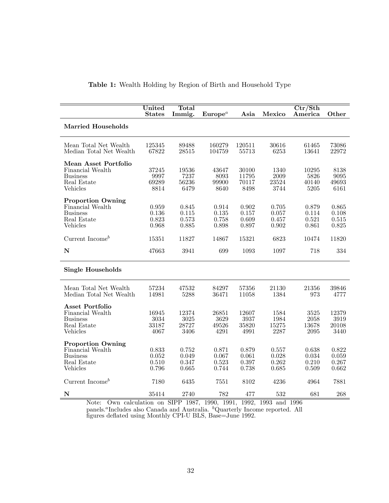|                                                                                            | United<br><b>States</b>          | Total<br>Immig.                  | Europe <sup>a</sup>              | Asia                             | Mexico                           | $\overline{\text{Ctr} / \text{Sth}}$<br>America | Other                            |
|--------------------------------------------------------------------------------------------|----------------------------------|----------------------------------|----------------------------------|----------------------------------|----------------------------------|-------------------------------------------------|----------------------------------|
| Married Households                                                                         |                                  |                                  |                                  |                                  |                                  |                                                 |                                  |
| Mean Total Net Wealth<br>Median Total Net Wealth                                           | 125345<br>67822                  | 89488<br>28515                   | 160279<br>104759                 | 120511<br>55713                  | 30616<br>6253                    | 61465<br>13641                                  | 73086<br>22972                   |
| Mean Asset Portfolio<br>Financial Wealth<br><b>Business</b><br>Real Estate<br>Vehicles     | 37245<br>9997<br>69289<br>8814   | 19536<br>7237<br>56236<br>6479   | 43647<br>8093<br>99900<br>8640   | 30100<br>11795<br>70117<br>8498  | 1340<br>2009<br>23524<br>3744    | 10295<br>5826<br>40140<br>5205                  | 8138<br>9095<br>49693<br>6161    |
| <b>Proportion Owning</b><br>Financial Wealth<br><b>Business</b><br>Real Estate<br>Vehicles | 0.959<br>0.136<br>0.823<br>0.968 | 0.845<br>0.115<br>0.573<br>0.885 | 0.914<br>0.135<br>0.758<br>0.898 | 0.902<br>0.157<br>0.609<br>0.897 | 0.705<br>0.057<br>0.457<br>0.902 | 0.879<br>0.114<br>0.521<br>0.861                | 0.865<br>0.108<br>0.515<br>0.825 |
| Current Income <sup>b</sup>                                                                | 15351                            | 11827                            | 14867                            | 15321                            | 6823                             | 10474                                           | 11820                            |
| $\mathbf N$                                                                                | 47663                            | 3941                             | 699                              | 1093                             | 1097                             | 718                                             | 334                              |
| <b>Single Households</b>                                                                   |                                  |                                  |                                  |                                  |                                  |                                                 |                                  |
| Mean Total Net Wealth<br>Median Total Net Wealth                                           | 57234<br>14981                   | 47532<br>5288                    | 84297<br>36471                   | 57356<br>11058                   | 21130<br>1384                    | 21356<br>973                                    | 39846<br>4777                    |
| <b>Asset Portfolio</b><br>Financial Wealth<br><b>Business</b><br>Real Estate<br>Vehicles   | 16945<br>3034<br>33187<br>4067   | 12374<br>3025<br>28727<br>3406   | 26851<br>3629<br>49526<br>4291   | 12607<br>3937<br>35820<br>4991   | 1584<br>1984<br>15275<br>2287    | 3525<br>2058<br>13678<br>2095                   | 12379<br>3919<br>20108<br>3440   |
| <b>Proportion Owning</b><br>Financial Wealth<br><b>Business</b><br>Real Estate<br>Vehicles | 0.833<br>0.052<br>0.510<br>0.796 | 0.752<br>0.049<br>0.347<br>0.665 | 0.871<br>0.067<br>0.523<br>0.744 | 0.879<br>0.061<br>0.397<br>0.738 | 0.557<br>0.028<br>0.262<br>0.685 | 0.638<br>0.034<br>0.210<br>0.509                | 0.822<br>0.059<br>0.267<br>0.662 |
| Current Income <sup><math>b</math></sup>                                                   | 7180                             | 6435                             | 7551                             | 8102                             | 4236                             | 4964                                            | 7881                             |
| N                                                                                          | 35414                            | 2740                             | 782                              | 477                              | 532                              | 681                                             | 268                              |

### Table 1: Wealth Holding by Region of Birth and Household Type

Note: Own calculation on SIPP 1987, 1990, 1991, 1992, 1993 and 1996 panels.<sup>*a*</sup>Includes also Canada and Australia. <sup>b</sup>Quarterly Income reported. All figures deflated using Monthly CPI-U BLS, Base=June 1992.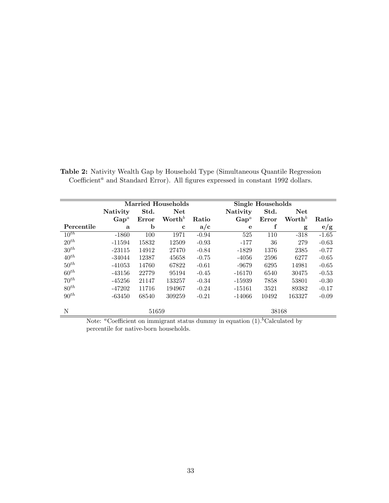|            |                 |             | <b>Married Households</b> |         |                  | <b>Single Households</b> |                    |         |
|------------|-----------------|-------------|---------------------------|---------|------------------|--------------------------|--------------------|---------|
|            | <b>Nativity</b> | Std.        | <b>Net</b>                |         | <b>Nativity</b>  | Std.                     | Net                |         |
|            | $\text{Gap}^a$  | Error       | $\mathbf{Worth}^b$        | Ratio   | $\mathrm{Gap}^a$ | Error                    | $\mathbf{Worth}^b$ | Ratio   |
| Percentile | a               | $\mathbf b$ | $\mathbf c$               | a/c     | e                | f                        | g                  | e/g     |
| $10^{th}$  | $-1860$         | 100         | 1971                      | $-0.94$ | 525              | 110                      | $-318$             | $-1.65$ |
| $20^{th}$  | $-11594$        | 15832       | 12509                     | $-0.93$ | $-177$           | 36                       | 279                | $-0.63$ |
| $30^{th}$  | $-23115$        | 14912       | 27470                     | $-0.84$ | $-1829$          | 1376                     | 2385               | $-0.77$ |
| $40^{th}$  | $-34044$        | 12387       | 45658                     | $-0.75$ | $-4056$          | 2596                     | 6277               | $-0.65$ |
| $50^{th}$  | $-41053$        | 14760       | 67822                     | $-0.61$ | -9679            | 6295                     | 14981              | $-0.65$ |
| $60^{th}$  | -43156          | 22779       | 95194                     | $-0.45$ | $-16170$         | 6540                     | 30475              | $-0.53$ |
| $70^{th}$  | $-45256$        | 21147       | 133257                    | $-0.34$ | $-15939$         | 7858                     | 53801              | $-0.30$ |
| $80^{th}$  | $-47202$        | 11716       | 194967                    | $-0.24$ | $-15161$         | 3521                     | 89382              | $-0.17$ |
| $90^{th}$  | -63450          | 68540       | 309259                    | $-0.21$ | -14066           | 10492                    | 163327             | $-0.09$ |
| N          |                 | 51659       |                           |         |                  | 38168                    |                    |         |

Table 2: Nativity Wealth Gap by Household Type (Simultaneous Quantile Regression Coefficient<sup>a</sup> and Standard Error). All figures expressed in constant 1992 dollars.

Note: "Coefficient on immigrant status dummy in equation  $(1)$ . Calculated by percentile for native-born households.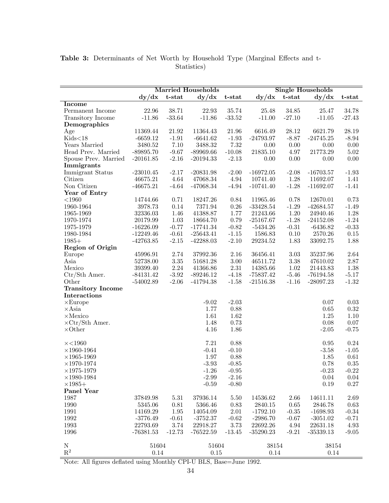|                                   |             |           | <b>Married Households</b> |           |             |           | <b>Single Households</b> |           |
|-----------------------------------|-------------|-----------|---------------------------|-----------|-------------|-----------|--------------------------|-----------|
|                                   | dy/dx       | $t$ -stat | dy/dx                     | t-stat    | dy/dx       | $t$ -stat | dy/dx                    | $t$ -stat |
| Income                            |             |           |                           |           |             |           |                          |           |
| Permanent Income                  | 22.96       | 38.71     | 22.93                     | $35.74\,$ | 25.48       | $34.85\,$ | 25.47                    | 34.78     |
| Transitory Income                 | $-11.86$    | $-33.64$  | $-11.86$                  | $-33.52$  | $-11.00$    | $-27.10$  | $-11.05$                 | $-27.43$  |
| Demographics                      |             |           |                           |           |             |           |                          |           |
| Age                               | 11369.44    | 21.92     | 11364.43                  | 21.96     | 6616.49     | 28.12     | 6621.79                  | 28.19     |
| Kids<18                           | $-6659.12$  | $-1.91$   | $-6641.62$                | $-1.93$   | $-24793.97$ | $-8.87$   | $-24745.25$              | $-8.94$   |
| Years Married                     | 3480.52     | 7.10      | 3488.32                   | 7.32      | 0.00        | 0.00      | $0.00\,$                 | 0.00      |
| Head Prev. Married                | $-89895.70$ | $-9.67$   | $-89969.66$               | $-10.08$  | 21835.10    | 4.97      | 21773.29                 | 5.02      |
| Spouse Prev. Married              | $-20161.85$ | $-2.16$   | $-20194.33$               | $-2.13$   | 0.00        | 0.00      | 0.00                     | 0.00      |
| Immigrants                        |             |           |                           |           |             |           |                          |           |
| Immigrant Status                  | $-23010.45$ | $-2.17$   | $-20831.98$               | $-2.00$   | $-16972.05$ | $-2.08$   | $-16703.57$              | $-1.93$   |
| Citizen                           | 46675.21    | 4.64      | 47068.34                  | 4.94      | 10741.40    | 1.28      | 11692.07                 | 1.41      |
| Non Citizen                       | $-46675.21$ | $-4.64$   | -47068.34                 | $-4.94$   | $-10741.40$ | $-1.28$   | $-11692.07$              | $-1.41$   |
| Year of Entry                     |             |           |                           |           |             |           |                          |           |
| $<$ 1960                          | 14744.66    | 0.71      | 18247.26                  | 0.84      | 11965.46    | 0.78      | 12670.01                 | 0.73      |
| 1960-1964                         | 3978.73     | 0.14      | 7371.94                   | $0.26\,$  | $-33428.54$ | $-1.29$   | $-42684.57$              | $-1.49$   |
| 1965-1969                         | 32336.03    | 1.46      | 41388.87                  | 1.77      | 21243.66    | $1.20\,$  | 24940.46                 | 1.28      |
| 1970-1974                         | 20179.99    | 1.03      | 18664.70                  | 0.79      | $-25167.67$ | $-1.28$   | $-24152.08$              | $-1.24$   |
| 1975-1979                         | $-16226.09$ | $-0.77$   | $-17741.34$               | $-0.82$   | $-5434.26$  | $-0.31$   | $-6436.82$               | $-0.33$   |
| 1980-1984                         | $-12249.46$ | $-0.61$   | $-25643.41$               | $-1.15$   | 1586.83     | $0.10\,$  | 2570.26                  | 0.15      |
| $1985+$                           | $-42763.85$ | $-2.15$   | $-42288.03$               | $-2.10$   | 29234.52    | 1.83      | 33092.75                 | 1.88      |
| <b>Region of Origin</b>           |             |           |                           |           |             |           |                          |           |
| Europe                            | 45996.91    | 2.74      | 37992.36                  | 2.16      | 36456.41    | $3.03\,$  | 35237.96                 | 2.64      |
| Asia                              | 52738.00    | $3.35\,$  | 51681.28                  | $3.00\,$  | 46511.72    | $3.38\,$  | 47610.02                 | 2.87      |
| Mexico                            | 39399.40    | $2.24\,$  | 41366.86                  | $2.31\,$  | 14385.66    | $1.02\,$  | 21443.83                 | 1.38      |
| $\mathrm{Ctr}/\mathrm{Sth}$ Amer. | $-84131.42$ | $-3.92$   | $-89246.12$               | $-4.18$   | $-75837.42$ | $-5.46$   | $-76194.58$              | $-5.17$   |
| Other                             | $-54002.89$ | $-2.06$   | $-41794.38$               | $-1.58$   | $-21516.38$ | $-1.16$   | $-28097.23$              | $-1.32$   |
| <b>Transitory Income</b>          |             |           |                           |           |             |           |                          |           |
| <b>Interactions</b>               |             |           |                           |           |             |           |                          |           |
| $\times$ Europe                   |             |           | $-9.02$                   | $-2.03$   |             |           | 0.07                     | 0.03      |
| $\times$ Asia                     |             |           | 1.77                      | 0.88      |             |           | 0.65                     | $0.32\,$  |
| $\times$ Mexico                   |             |           | 1.61                      | 1.62      |             |           | 1.25                     | 1.10      |
| $\times$ Ctr/Sth Amer.            |             |           | 1.48                      | 0.73      |             |           | 0.08                     | 0.07      |
| $\times$ Other                    |             |           | 4.16                      | 1.86      |             |           | $-2.05$                  | $-0.75$   |
|                                   |             |           |                           |           |             |           |                          |           |
| $\times$ <1960                    |             |           | 7.21                      | 0.88      |             |           | 0.95                     | $0.24\,$  |
| $\times$ 1960-1964                |             |           | $-0.41$                   | $-0.10$   |             |           | $-3.58$                  | $-1.05$   |
| $\times$ 1965-1969                |             |           | 1.97                      | 0.88      |             |           | 1.85                     | 0.61      |
| $\times$ 1970-1974                |             |           | $-3.93$                   | $-0.85$   |             |           | 0.78                     | 0.35      |
| $\times 1975$ - $1979$            |             |           | $-1.26$                   | $-0.95$   |             |           | $-0.23$                  | $-0.22$   |
| $\times 1980$ -1984               |             |           | $-2.99$                   | $-2.16$   |             |           | 0.04                     | 0.04      |
| $\times$ 1985+                    |             |           | $-0.59$                   | $-0.80$   |             |           | 0.19                     | $0.27\,$  |
| Panel Year                        |             |           |                           |           |             |           |                          |           |
| 1987                              | 37849.98    | 5.31      | 37936.14                  | $5.50\,$  | 14536.62    | 2.66      | 14611.11                 | 2.69      |
| 1990                              | 5345.06     | 0.81      | 5366.46                   | 0.83      | 2840.15     | $0.65\,$  | 2846.78                  | 0.63      |
| 1991                              | 14169.29    | 1.95      | 14054.09                  | 2.01      | $-1792.10$  | $-0.35$   | $-1698.93$               | $-0.34$   |
| 1992                              | $-3776.49$  | $-0.61$   | $-3752.37$                | $-0.62$   | $-2986.70$  | $-0.67$   | $-3051.02$               | $-0.71$   |
| 1993                              | 22793.69    | 3.74      | 22918.27                  | 3.73      | 22692.26    | 4.94      | 22631.18                 | 4.93      |
| 1996                              | $-76381.53$ | $-12.73$  | $-76522.59$               | $-13.45$  | $-35290.23$ | $-9.21$   | $-35339.13$              | $-9.05$   |
|                                   |             |           |                           |           |             |           |                          |           |
| N                                 | 51604       |           | 51604                     |           | 38154       |           | 38154                    |           |
| $\mathbf{R}^2$                    | $0.14\,$    |           | $0.15\,$                  |           | $0.14\,$    |           | 0.14                     |           |

Table 3: Determinants of Net Worth by Household Type (Marginal Effects and t-Statistics)

Note: All figures deflated using Monthly CPI-U BLS, Base=June 1992.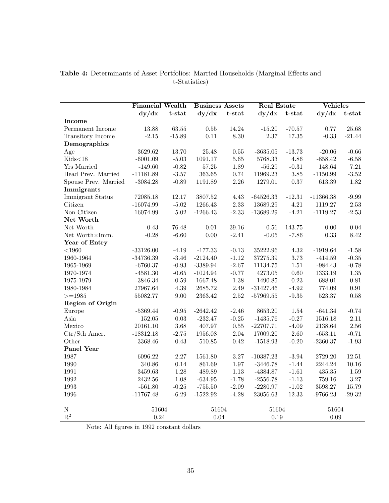| <b>Table 4:</b> Determinants of Asset Portfolios: Married Households (Marginal Effects and |               |  |  |
|--------------------------------------------------------------------------------------------|---------------|--|--|
|                                                                                            | t-Statistics) |  |  |

|                                   | <b>Financial Wealth</b> |           | <b>Business Assets</b> |           | <b>Real Estate</b> |           | Vehicles    |           |
|-----------------------------------|-------------------------|-----------|------------------------|-----------|--------------------|-----------|-------------|-----------|
|                                   | dy/dx                   | $t$ -stat | dy/dx                  | $t$ -stat | dy/dx              | $t$ -stat | dy/dx       | $t$ -stat |
| Income                            |                         |           |                        |           |                    |           |             |           |
| Permanent Income                  | 13.88                   | 63.55     | 0.55                   | 14.24     | $-15.20$           | $-70.57$  | 0.77        | 25.68     |
| Transitory Income                 | $-2.15$                 | $-15.89$  | 0.11                   | 8.30      | 2.37               | $17.35\,$ | $-0.33$     | $-21.44$  |
| Demographics                      |                         |           |                        |           |                    |           |             |           |
| Age                               | 3629.62                 | 13.70     | $25.48\,$              | $0.55\,$  | $-3635.05$         | $-13.73$  | $-20.06$    | $-0.66$   |
| Kids<18                           | $-6001.09$              | $-5.03$   | 1091.17                | $5.65\,$  | 5768.33            | 4.86      | $-858.42$   | $-6.58$   |
| Yrs Married                       | $-149.60$               | $-0.82$   | 57.25                  | 1.89      | $-56.29$           | $-0.31$   | 148.64      | $7.21\,$  |
| Head Prev. Married                | $-11181.89$             | $-3.57$   | $363.65\,$             | 0.74      | 11969.23           | $3.85\,$  | $-1150.99$  | $-3.52$   |
| Spouse Prev. Married              | $-3084.28$              | $-0.89$   | 1191.89                | $2.26\,$  | 1279.01            | 0.37      | 613.39      | 1.82      |
| Immigrants                        |                         |           |                        |           |                    |           |             |           |
| Immigrant Status                  | 72085.18                | 12.17     | 3807.52                | 4.43      | $-64526.33$        | $-12.31$  | $-11366.38$ | $-9.99$   |
| Citizen                           | $-16074.99$             | $-5.02$   | 1266.43                | $2.33\,$  | 13689.29           | $4.21\,$  | 1119.27     | $2.53\,$  |
| Non Citizen                       | 16074.99                | 5.02      | $-1266.43$             | $-2.33$   | $-13689.29$        | $-4.21$   | $-1119.27$  | $-2.53$   |
| Net Worth                         |                         |           |                        |           |                    |           |             |           |
| Net Worth                         | 0.43                    | 76.48     | $0.01\,$               | $39.16\,$ | $0.56\,$           | 143.75    | 0.00        | 0.04      |
| Net Worth×Imm.                    | $-0.28$                 | $-6.60$   | 0.00                   | $-2.41$   | $-0.05$            | $-7.86$   | $0.33\,$    | 8.42      |
| Year of Entry                     |                         |           |                        |           |                    |           |             |           |
| $<$ 1960                          | $-33126.00$             | $-4.19$   | $-177.33$              | $-0.13$   | 35222.96           | 4.32      | $-1919.64$  | $-1.58$   |
| 1960-1964                         | $-34736.39$             | $-3.46$   | $-2124.40$             | $-1.12$   | 37275.39           | 3.73      | $-414.59$   | $-0.35$   |
| 1965-1969                         | $-6760.37$              | $-0.93$   | $-3389.94$             | $-2.67$   | 11134.75           | 1.51      | $-984.43$   | $-0.78$   |
| 1970-1974                         | $-4581.30$              | $-0.65$   | $-1024.94$             | $-0.77$   | 4273.05            | $0.60\,$  | 1333.19     | $1.35\,$  |
| 1975-1979                         | $-3846.34$              | $-0.59$   | 1667.48                | 1.38      | 1490.85            | $0.23\,$  | 688.01      | 0.81      |
| 1980-1984                         | 27967.64                | 4.39      | 2685.72                | 2.49      | $-31427.46$        | $-4.92$   | 774.09      | 0.91      |
| $>=1985$                          | 55082.77                | 9.00      | 2363.42                | $2.52\,$  | $-57969.55$        | $-9.35$   | 523.37      | $0.58\,$  |
| <b>Region of Origin</b>           |                         |           |                        |           |                    |           |             |           |
| Europe                            | $-5369.44$              | $-0.95$   | $-2642.42$             | $-2.46$   | 8653.20            | $1.54\,$  | $-641.34$   | $-0.74$   |
| Asia                              | 152.05                  | 0.03      | $-232.47$              | $-0.25$   | $-1435.76$         | $-0.27$   | 1516.18     | 2.11      |
| Mexico                            | 20161.10                | 3.68      | 407.97                 | $0.55\,$  | $-22707.71$        | $-4.09$   | 2138.64     | 2.56      |
| $\mathrm{Ctr}/\mathrm{Sth}$ Amer. | $-18312.18$             | $-2.75$   | 1956.08                | 2.04      | 17009.20           | 2.60      | $-653.11$   | $-0.71$   |
| Other                             | 3368.46                 | 0.43      | 510.85                 | 0.42      | $-1518.93$         | $-0.20$   | $-2360.37$  | $-1.93$   |
| Panel Year                        |                         |           |                        |           |                    |           |             |           |
| 1987                              | 6096.22                 | 2.27      | 1561.80                | 3.27      | $-10387.23$        | $-3.94$   | 2729.20     | 12.51     |
| 1990                              | 340.86                  | 0.14      | 861.69                 | $1.97\,$  | $-3446.78$         | $-1.44$   | 2244.24     | 10.16     |
| 1991                              | 3459.63                 | 1.28      | 489.89                 | $1.13\,$  | $-4384.87$         | $-1.61$   | $435.35\,$  | 1.59      |
| 1992                              | 2432.56                 | 1.08      | $-634.95$              | $-1.78$   | $-2556.78$         | $-1.13$   | $759.16\,$  | $3.27\,$  |
| 1993                              | $-561.80$               | $-0.25$   | $-755.50$              | $-2.09$   | $-2280.97$         | $-1.02$   | 3598.27     | 15.79     |
| 1996                              | $-11767.48$             | $-6.29$   | $-1522.92$             | $-4.28$   | 23056.63           | 12.33     | $-9766.23$  | $-29.32$  |
|                                   |                         |           |                        |           |                    |           |             |           |
| ${\rm N}$                         | 51604                   |           | 51604                  |           | 51604              |           | 51604       |           |
| $\mathbf{R}^2$                    | 0.24                    |           | 0.04                   |           | 0.19               |           | 0.09        |           |

Note: All figures in 1992 constant dollars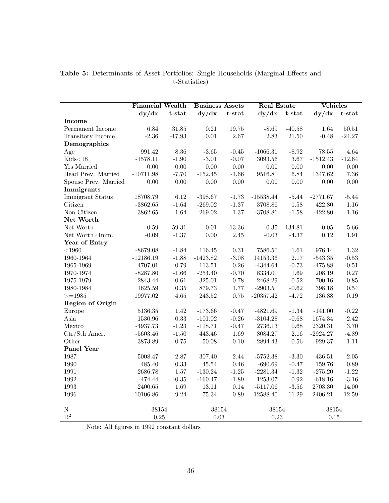|                         | <b>Financial Wealth</b> |                | <b>Business Assets</b> |           | <b>Real Estate</b> |            | <b>Vehicles</b> |                  |
|-------------------------|-------------------------|----------------|------------------------|-----------|--------------------|------------|-----------------|------------------|
|                         | dy/dx                   | $t$ -stat      | dy/dx                  | $t$ -stat | dy/dx              | $t$ -stat  | dy/dx           | $t$ -stat        |
| <b>Income</b>           |                         |                |                        |           |                    |            |                 |                  |
| Permanent Income        | $6.84\,$                | $31.85\,$      | $\rm 0.21$             | $19.75\,$ | $-8.69$            | $-40.58$   | 1.64            | $50.51\,$        |
| Transitory Income       | $-2.36$                 | $-17.93$       | 0.01                   | 2.67      | 2.83               | 21.50      | $-0.48$         | $-24.27$         |
| Demographics            |                         |                |                        |           |                    |            |                 |                  |
| Age                     | 991.42                  | 8.36           | $-3.65$                | $-0.45$   | $-1066.31$         | $-8.92$    | 78.55           | 4.64             |
| Kids<18                 | $-1578.11$              | $-1.90$        | $-3.01$                | $-0.07$   | 3093.56            | 3.67       | $-1512.43$      | $-12.64$         |
| Yrs Married             | 0.00                    | $0.00\,$       | $0.00\,$               | $0.00\,$  | $0.00\,$           | $0.00\,$   | 0.00            | $0.00\,$         |
| Head Prev. Married      | $-10711.98$             | $-7.70$        | $-152.45$              | $-1.66$   | 9516.81            | 6.84       | 1347.62         | 7.36             |
| Spouse Prev. Married    | 0.00                    | $0.00\,$       | $0.00\,$               | $0.00\,$  | 0.00               | $0.00\,$   | 0.00            | $0.00\,$         |
| Immigrants              |                         |                |                        |           |                    |            |                 |                  |
| Immigrant Status        | 18708.79                | 6.12           | $-398.67$              | $-1.73$   | $-15538.44$        | $-5.44$    | $-2771.67$      | $-5.44$          |
| Citizen                 | $-3862.65$              | $-1.64$        | $-269.02$              | $-1.37$   | 3708.86            | $1.58\,$   | 422.80          | $1.16\,$         |
| Non Citizen             | 3862.65                 | 1.64           | 269.02                 | $1.37\,$  | $-3708.86$         | $-1.58$    | $-422.80$       | $-1.16$          |
| Net Worth               |                         |                |                        |           |                    |            |                 |                  |
| Net Worth               | 0.59                    | $59.31\,$      | 0.01                   | 13.36     | $0.35\,$           | 134.81     | $0.05\,$        | 5.66             |
| Net Worth×Imm.          | $-0.09$                 | $-1.37$        | 0.00                   | $2.45\,$  | $-0.03$            | $-4.37$    | $0.12\,$        | 1.91             |
| Year of Entry           |                         |                |                        |           |                    |            |                 |                  |
| $<\!\!1960$             | $-8679.08$              | $-1.84$        | 116.45                 | $0.31\,$  | 7586.50            | 1.61       | 976.14          | 1.32             |
| 1960-1964               | $-12186.19$             | $-1.88$        | $-1423.82$             | $-3.08$   | 14153.36           | $2.17\,$   | $-543.35$       | $-0.53$          |
| 1965-1969               | 4707.01                 | 0.79           | 113.51                 | $0.26\,$  | $-4344.64$         | $-0.73$    | $-475.88$       | $-0.51$          |
| 1970-1974               | $-8287.80$              | $-1.66$        | $-254.40$              | $-0.70$   | 8334.01            | 1.69       | 208.19          | $0.27\,$         |
| 1975-1979               | 2843.44                 | $0.61\,$       | 325.01                 | 0.78      | $-2468.29$         | $-0.52$    | $-700.16$       | $\textbf{-0.85}$ |
| 1980-1984               | 1625.59                 | $0.35\,$       | 879.73                 | $1.77\,$  | $-2903.51$         | $-0.62$    | 398.18          | 0.54             |
| $>=1985$                | 19977.02                | $4.65\,$       | $243.52\,$             | 0.75      | $-20357.42$        | $-4.72$    | 136.88          | $0.19\,$         |
| <b>Region of Origin</b> |                         |                |                        |           |                    |            |                 |                  |
| Europe                  | 5136.35                 | 1.42           | $-173.66$              | $-0.47$   | $-4821.69$         | $-1.34$    | $-141.00$       | $-0.22$          |
| Asia                    | 1530.96                 | $0.33\,$       | $-101.02$              | $-0.26$   | $-3104.28$         | $-0.68$    | 1674.34         | 2.42             |
| Mexico                  | $-4937.73$              | $-1.23$        | $-118.71$              | $-0.47$   | 2736.13            | $0.68\,$   | 2320.31         | 3.70             |
| Ctr/Sth Amer.           | $-5603.46$              | $-1.50$        | 443.46                 | 1.69      | 8084.27            | $2.16\,$   | $-2924.27$      | $-4.89$          |
| Other                   | 3873.89                 | 0.75           | $-50.08$               | $-0.10$   | $-2894.43$         | $-0.56$    | $-929.37$       | $-1.11$          |
| Panel Year              |                         |                |                        |           |                    |            |                 |                  |
| 1987                    | 5008.47                 | $2.87\,$       | 307.40                 | 2.44      | $-5752.38$         | $-3.30$    | 436.51          | $2.05\,$         |
| 1990                    | 485.40                  | 0.33           | 45.54                  | 0.46      | $-690.69$          | $-0.47$    | 159.76          | 0.89             |
| 1991                    | 2686.78                 | $1.57\,$       | $-130.24$              | $-1.25$   | $-2281.34$         | $-1.32$    | $-275.20$       | $-1.22$          |
| 1992                    | $-474.44$               | $\text{-}0.35$ | $-160.47$              | $-1.89$   | 1253.07            | $\rm 0.92$ | $-618.16$       | $-3.16$          |
| 1993                    | 2400.65                 | 1.69           | $13.11\,$              | $0.14\,$  | $-5117.06$         | $-3.56$    | 2703.30         | 14.00            |
| 1996                    | $-10106.86$             | $-9.24$        | $-75.34$               | $-0.89$   | 12588.40           | 11.29      | $-2406.21$      | $-12.59$         |
|                         |                         |                |                        |           |                    |            |                 |                  |
| ${\bf N}$               | 38154                   |                | 38154                  |           | 38154              |            | 38154           |                  |
| $\mathbf{R}^2$          | $0.25\,$                |                | 0.03                   |           | $0.23\,$           |            | $0.15\,$        |                  |

Table 5: Determinants of Asset Portfolios: Single Households (Marginal Effects and t-Statistics)

Note: All figures in  $1992$  constant dollars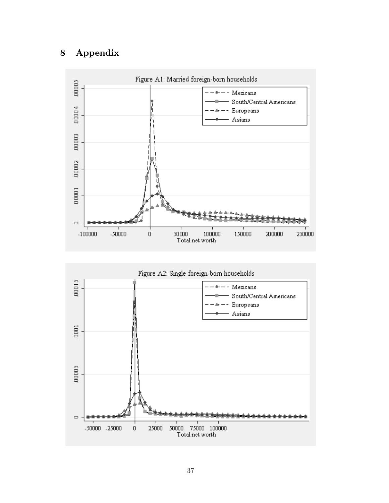## 8 Appendix